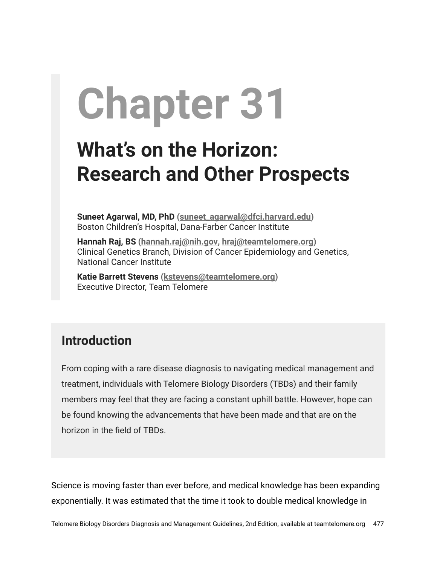## **Chapter 31**

## **What's on the Horizon: Research and Other Prospects**

**Suneet Agarwal, MD, PhD ([suneet\\_agarwal@dfci.harvard.edu\)](mailto:suneet_agarwal@dfci.harvard.edu)** Boston Children's Hospital, Dana-Farber Cancer Institute

**Hannah Raj, BS (hannah.raj[@nih.gov](mailto:hraj@nih.gov), [hraj@teamtelomere.org\)](mailto:hraj@teamtelomere.org)** Clinical Genetics Branch, Division of Cancer Epidemiology and Genetics, National Cancer Institute

**Katie Barrett Stevens ([kstevens@teamtelomere.org\)](http://kstevens@teamtelomere.org/)** Executive Director, Team Telomere

## **Introduction**

From coping with a rare disease diagnosis to navigating medical management and treatment, individuals with Telomere Biology Disorders (TBDs) and their family members may feel that they are facing a constant uphill battle. However, hope can be found knowing the advancements that have been made and that are on the horizon in the field of TBDs.

Science is moving faster than ever before, and medical knowledge has been expanding exponentially. It was estimated that the time it took to double medical knowledge in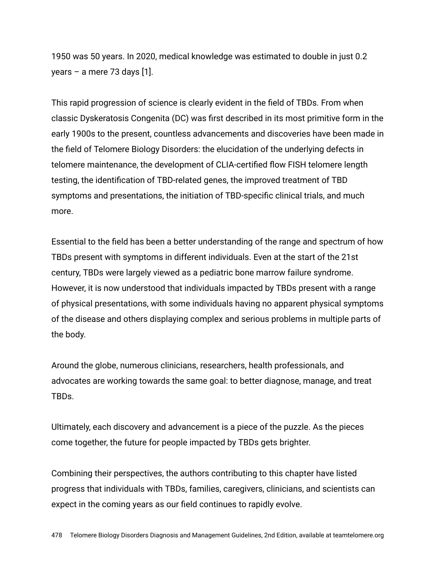1950 was 50 years. In 2020, medical knowledge was estimated to double in just 0.2 years – a mere 73 days [1].

This rapid progression of science is clearly evident in the field of TBDs. From when classic Dyskeratosis Congenita (DC) was first described in its most primitive form in the early 1900s to the present, countless advancements and discoveries have been made in the field of Telomere Biology Disorders: the elucidation of the underlying defects in telomere maintenance, the development of CLIA-certified flow FISH telomere length testing, the identification of TBD-related genes, the improved treatment of TBD symptoms and presentations, the initiation of TBD-specific clinical trials, and much more.

Essential to the field has been a better understanding of the range and spectrum of how TBDs present with symptoms in different individuals. Even at the start of the 21st century, TBDs were largely viewed as a pediatric bone marrow failure syndrome. However, it is now understood that individuals impacted by TBDs present with a range of physical presentations, with some individuals having no apparent physical symptoms of the disease and others displaying complex and serious problems in multiple parts of the body.

Around the globe, numerous clinicians, researchers, health professionals, and advocates are working towards the same goal: to better diagnose, manage, and treat TBDs.

Ultimately, each discovery and advancement is a piece of the puzzle. As the pieces come together, the future for people impacted by TBDs gets brighter.

Combining their perspectives, the authors contributing to this chapter have listed progress that individuals with TBDs, families, caregivers, clinicians, and scientists can expect in the coming years as our field continues to rapidly evolve.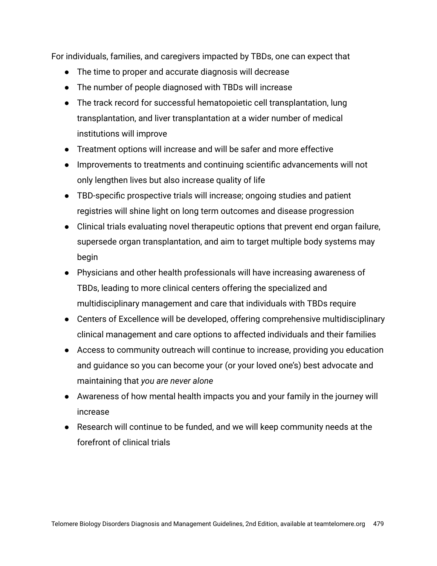For individuals, families, and caregivers impacted by TBDs, one can expect that

- The time to proper and accurate diagnosis will decrease
- The number of people diagnosed with TBDs will increase
- The track record for successful hematopoietic cell transplantation, lung transplantation, and liver transplantation at a wider number of medical institutions will improve
- Treatment options will increase and will be safer and more effective
- Improvements to treatments and continuing scientific advancements will not only lengthen lives but also increase quality of life
- TBD-specific prospective trials will increase; ongoing studies and patient registries will shine light on long term outcomes and disease progression
- Clinical trials evaluating novel therapeutic options that prevent end organ failure, supersede organ transplantation, and aim to target multiple body systems may begin
- Physicians and other health professionals will have increasing awareness of TBDs, leading to more clinical centers offering the specialized and multidisciplinary management and care that individuals with TBDs require
- Centers of Excellence will be developed, offering comprehensive multidisciplinary clinical management and care options to affected individuals and their families
- Access to community outreach will continue to increase, providing you education and guidance so you can become your (or your loved one's) best advocate and maintaining that *you are never alone*
- Awareness of how mental health impacts you and your family in the journey will increase
- Research will continue to be funded, and we will keep community needs at the forefront of clinical trials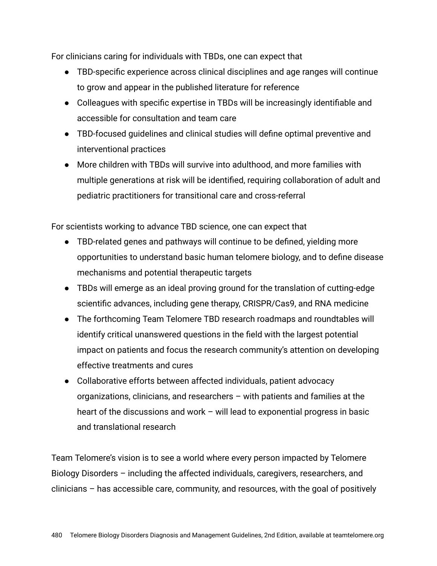For clinicians caring for individuals with TBDs, one can expect that

- TBD-specific experience across clinical disciplines and age ranges will continue to grow and appear in the published literature for reference
- Colleagues with specific expertise in TBDs will be increasingly identifiable and accessible for consultation and team care
- TBD-focused guidelines and clinical studies will define optimal preventive and interventional practices
- More children with TBDs will survive into adulthood, and more families with multiple generations at risk will be identified, requiring collaboration of adult and pediatric practitioners for transitional care and cross-referral

For scientists working to advance TBD science, one can expect that

- TBD-related genes and pathways will continue to be defined, yielding more opportunities to understand basic human telomere biology, and to define disease mechanisms and potential therapeutic targets
- TBDs will emerge as an ideal proving ground for the translation of cutting-edge scientific advances, including gene therapy, CRISPR/Cas9, and RNA medicine
- The forthcoming Team Telomere TBD research roadmaps and roundtables will identify critical unanswered questions in the field with the largest potential impact on patients and focus the research community's attention on developing effective treatments and cures
- Collaborative efforts between affected individuals, patient advocacy organizations, clinicians, and researchers – with patients and families at the heart of the discussions and work – will lead to exponential progress in basic and translational research

Team Telomere's vision is to see a world where every person impacted by Telomere Biology Disorders – including the affected individuals, caregivers, researchers, and clinicians – has accessible care, community, and resources, with the goal of positively